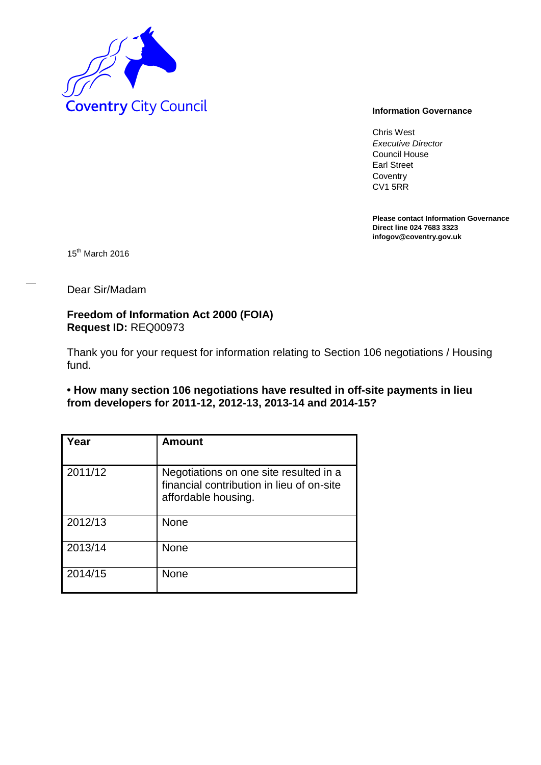

Chris West *Executive Director* Council House Earl Street **Coventry** CV1 5RR

**Please contact Information Governance Direct line 024 7683 3323 infogov@coventry.gov.uk** 

15<sup>th</sup> March 2016

Dear Sir/Madam

**Freedom of Information Act 2000 (FOIA) Request ID:** REQ00973

Thank you for your request for information relating to Section 106 negotiations / Housing fund.

**• How many section 106 negotiations have resulted in off-site payments in lieu from developers for 2011-12, 2012-13, 2013-14 and 2014-15?**

| Year    | Amount                                                                                                     |
|---------|------------------------------------------------------------------------------------------------------------|
| 2011/12 | Negotiations on one site resulted in a<br>financial contribution in lieu of on-site<br>affordable housing. |
| 2012/13 | None                                                                                                       |
| 2013/14 | None                                                                                                       |
| 2014/15 | None                                                                                                       |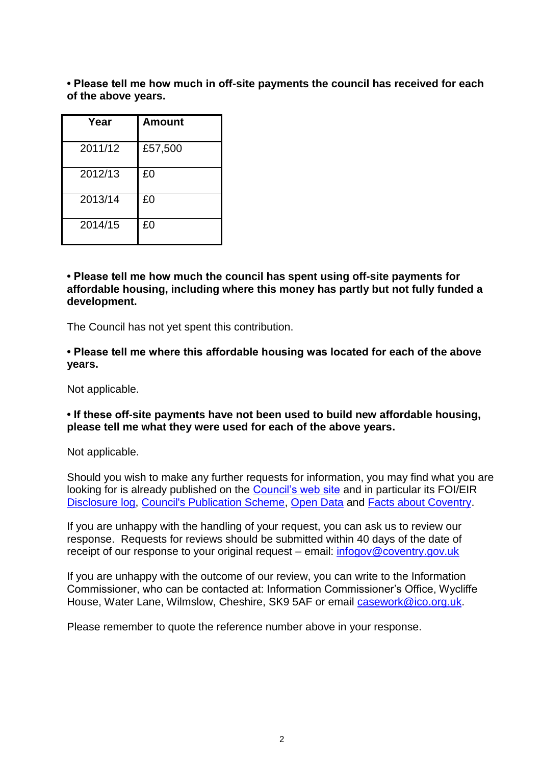**• Please tell me how much in off-site payments the council has received for each of the above years.**

| Year    | <b>Amount</b> |
|---------|---------------|
| 2011/12 | £57,500       |
| 2012/13 | £0            |
| 2013/14 | £0            |
| 2014/15 | £0            |

**• Please tell me how much the council has spent using off-site payments for affordable housing, including where this money has partly but not fully funded a development.**

The Council has not yet spent this contribution.

**• Please tell me where this affordable housing was located for each of the above years.**

Not applicable.

## **• If these off-site payments have not been used to build new affordable housing, please tell me what they were used for each of the above years.**

Not applicable.

Should you wish to make any further requests for information, you may find what you are looking for is already published on the [Council's web site](http://www.coventry.gov.uk/) and in particular its FOI/EIR [Disclosure log,](http://www.coventry.gov.uk/foieirrequests) [Council's Publication Scheme,](http://www.coventry.gov.uk/publicationscheme) [Open Data](http://www.coventry.gov.uk/opendata) and [Facts about Coventry.](http://www.coventry.gov.uk/factsaboutcoventry)

If you are unhappy with the handling of your request, you can ask us to review our response. Requests for reviews should be submitted within 40 days of the date of receipt of our response to your original request – email: [infogov@coventry.gov.uk](mailto:infogov@coventry.gov.uk)

If you are unhappy with the outcome of our review, you can write to the Information Commissioner, who can be contacted at: Information Commissioner's Office, Wycliffe House, Water Lane, Wilmslow, Cheshire, SK9 5AF or email [casework@ico.org.uk.](mailto:casework@ico.org.uk)

Please remember to quote the reference number above in your response.